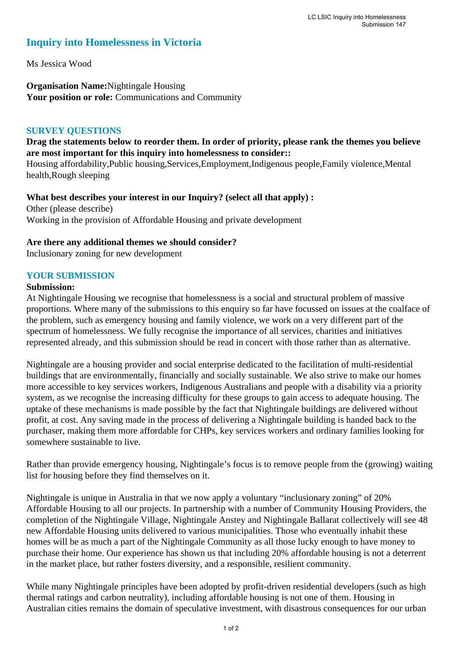# **Inquiry into Homelessness in Victoria**

Ms Jessica Wood

**Organisation Name:**Nightingale Housing Your position or role: Communications and Community

# **SURVEY QUESTIONS**

# **Drag the statements below to reorder them. In order of priority, please rank the themes you believe are most important for this inquiry into homelessness to consider::**

Housing affordability,Public housing,Services,Employment,Indigenous people,Family violence,Mental health,Rough sleeping

**What best describes your interest in our Inquiry? (select all that apply) :**  Other (please describe) Working in the provision of Affordable Housing and private development

### **Are there any additional themes we should consider?**

Inclusionary zoning for new development

# **YOUR SUBMISSION**

#### **Submission:**

At Nightingale Housing we recognise that homelessness is a social and structural problem of massive proportions. Where many of the submissions to this enquiry so far have focussed on issues at the coalface of the problem, such as emergency housing and family violence, we work on a very different part of the spectrum of homelessness. We fully recognise the importance of all services, charities and initiatives represented already, and this submission should be read in concert with those rather than as alternative.

Nightingale are a housing provider and social enterprise dedicated to the facilitation of multi-residential buildings that are environmentally, financially and socially sustainable. We also strive to make our homes more accessible to key services workers, Indigenous Australians and people with a disability via a priority system, as we recognise the increasing difficulty for these groups to gain access to adequate housing. The uptake of these mechanisms is made possible by the fact that Nightingale buildings are delivered without profit, at cost. Any saving made in the process of delivering a Nightingale building is handed back to the purchaser, making them more affordable for CHPs, key services workers and ordinary families looking for somewhere sustainable to live.

Rather than provide emergency housing, Nightingale's focus is to remove people from the (growing) waiting list for housing before they find themselves on it.

Nightingale is unique in Australia in that we now apply a voluntary "inclusionary zoning" of 20% Affordable Housing to all our projects. In partnership with a number of Community Housing Providers, the completion of the Nightingale Village, Nightingale Anstey and Nightingale Ballarat collectively will see 48 new Affordable Housing units delivered to various municipalities. Those who eventually inhabit these homes will be as much a part of the Nightingale Community as all those lucky enough to have money to purchase their home. Our experience has shown us that including 20% affordable housing is not a deterrent in the market place, but rather fosters diversity, and a responsible, resilient community.

While many Nightingale principles have been adopted by profit-driven residential developers (such as high thermal ratings and carbon neutrality), including affordable housing is not one of them. Housing in Australian cities remains the domain of speculative investment, with disastrous consequences for our urban